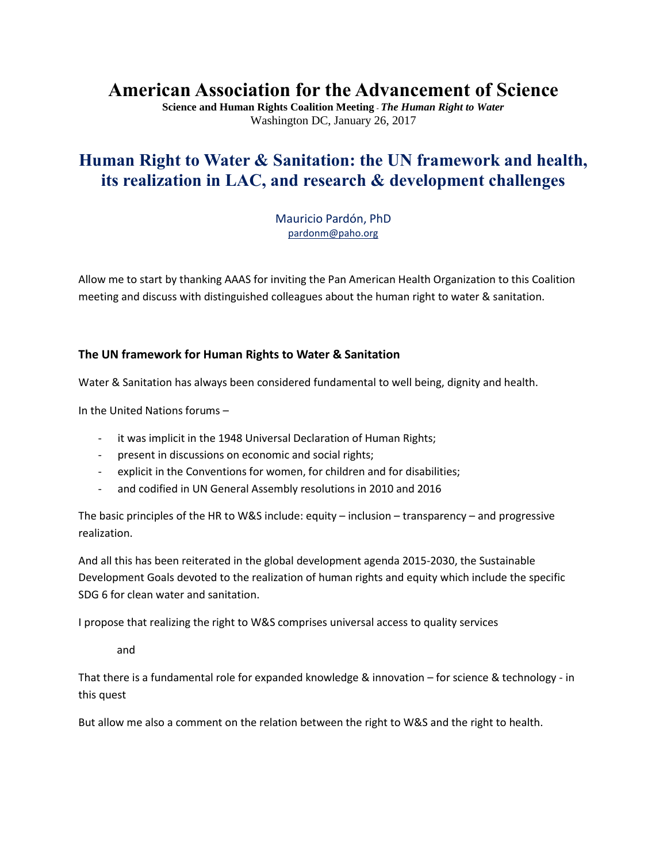# **American Association for the Advancement of Science**

**Science and Human Rights Coalition Meeting** - *The Human Right to Water* Washington DC, January 26, 2017

## **Human Right to Water & Sanitation: the UN framework and health, its realization in LAC, and research & development challenges**

Mauricio Pardón, PhD [pardonm@paho.org](mailto:pardonm@paho.org)

Allow me to start by thanking AAAS for inviting the Pan American Health Organization to this Coalition meeting and discuss with distinguished colleagues about the human right to water & sanitation.

#### **The UN framework for Human Rights to Water & Sanitation**

Water & Sanitation has always been considered fundamental to well being, dignity and health.

In the United Nations forums –

- it was implicit in the 1948 Universal Declaration of Human Rights;
- present in discussions on economic and social rights;
- explicit in the Conventions for women, for children and for disabilities;
- and codified in UN General Assembly resolutions in 2010 and 2016

The basic principles of the HR to W&S include: equity – inclusion – transparency – and progressive realization.

And all this has been reiterated in the global development agenda 2015-2030, the Sustainable Development Goals devoted to the realization of human rights and equity which include the specific SDG 6 for clean water and sanitation.

I propose that realizing the right to W&S comprises universal access to quality services

and

That there is a fundamental role for expanded knowledge & innovation – for science & technology - in this quest

But allow me also a comment on the relation between the right to W&S and the right to health.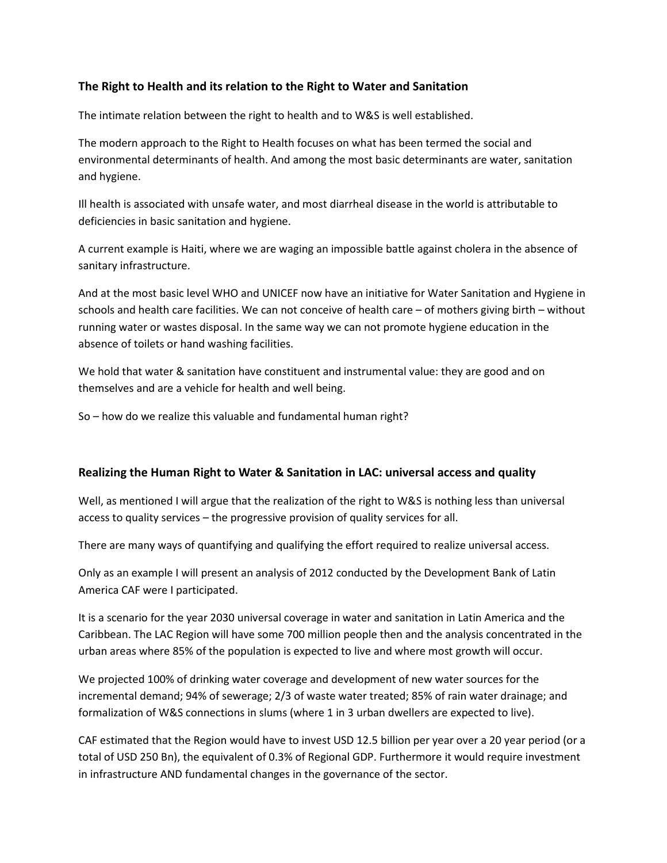#### **The Right to Health and its relation to the Right to Water and Sanitation**

The intimate relation between the right to health and to W&S is well established.

The modern approach to the Right to Health focuses on what has been termed the social and environmental determinants of health. And among the most basic determinants are water, sanitation and hygiene.

Ill health is associated with unsafe water, and most diarrheal disease in the world is attributable to deficiencies in basic sanitation and hygiene.

A current example is Haiti, where we are waging an impossible battle against cholera in the absence of sanitary infrastructure.

And at the most basic level WHO and UNICEF now have an initiative for Water Sanitation and Hygiene in schools and health care facilities. We can not conceive of health care – of mothers giving birth – without running water or wastes disposal. In the same way we can not promote hygiene education in the absence of toilets or hand washing facilities.

We hold that water & sanitation have constituent and instrumental value: they are good and on themselves and are a vehicle for health and well being.

So – how do we realize this valuable and fundamental human right?

#### **Realizing the Human Right to Water & Sanitation in LAC: universal access and quality**

Well, as mentioned I will argue that the realization of the right to W&S is nothing less than universal access to quality services – the progressive provision of quality services for all.

There are many ways of quantifying and qualifying the effort required to realize universal access.

Only as an example I will present an analysis of 2012 conducted by the Development Bank of Latin America CAF were I participated.

It is a scenario for the year 2030 universal coverage in water and sanitation in Latin America and the Caribbean. The LAC Region will have some 700 million people then and the analysis concentrated in the urban areas where 85% of the population is expected to live and where most growth will occur.

We projected 100% of drinking water coverage and development of new water sources for the incremental demand; 94% of sewerage; 2/3 of waste water treated; 85% of rain water drainage; and formalization of W&S connections in slums (where 1 in 3 urban dwellers are expected to live).

CAF estimated that the Region would have to invest USD 12.5 billion per year over a 20 year period (or a total of USD 250 Bn), the equivalent of 0.3% of Regional GDP. Furthermore it would require investment in infrastructure AND fundamental changes in the governance of the sector.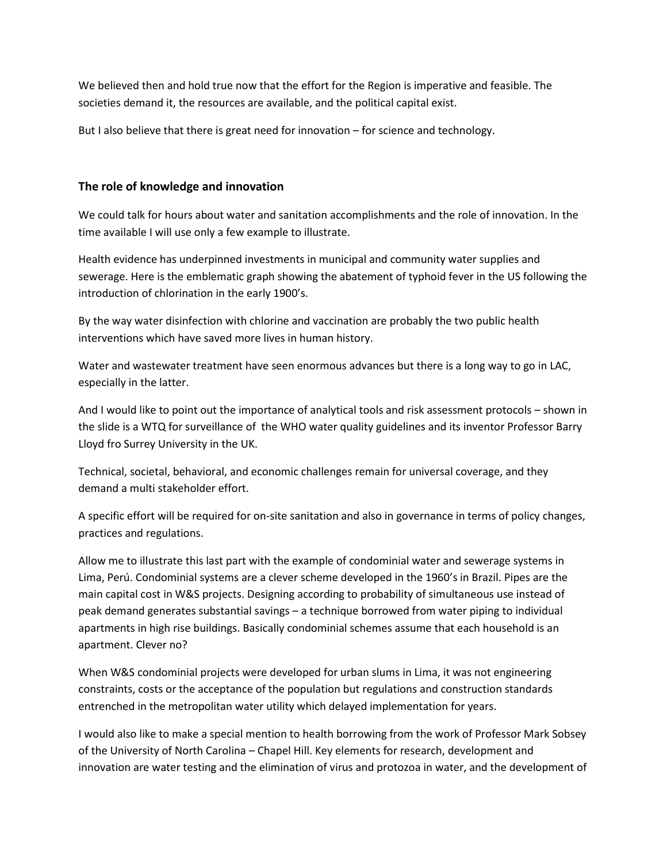We believed then and hold true now that the effort for the Region is imperative and feasible. The societies demand it, the resources are available, and the political capital exist.

But I also believe that there is great need for innovation – for science and technology.

#### **The role of knowledge and innovation**

We could talk for hours about water and sanitation accomplishments and the role of innovation. In the time available I will use only a few example to illustrate.

Health evidence has underpinned investments in municipal and community water supplies and sewerage. Here is the emblematic graph showing the abatement of typhoid fever in the US following the introduction of chlorination in the early 1900's.

By the way water disinfection with chlorine and vaccination are probably the two public health interventions which have saved more lives in human history.

Water and wastewater treatment have seen enormous advances but there is a long way to go in LAC, especially in the latter.

And I would like to point out the importance of analytical tools and risk assessment protocols – shown in the slide is a WTQ for surveillance of the WHO water quality guidelines and its inventor Professor Barry Lloyd fro Surrey University in the UK.

Technical, societal, behavioral, and economic challenges remain for universal coverage, and they demand a multi stakeholder effort.

A specific effort will be required for on-site sanitation and also in governance in terms of policy changes, practices and regulations.

Allow me to illustrate this last part with the example of condominial water and sewerage systems in Lima, Perú. Condominial systems are a clever scheme developed in the 1960's in Brazil. Pipes are the main capital cost in W&S projects. Designing according to probability of simultaneous use instead of peak demand generates substantial savings – a technique borrowed from water piping to individual apartments in high rise buildings. Basically condominial schemes assume that each household is an apartment. Clever no?

When W&S condominial projects were developed for urban slums in Lima, it was not engineering constraints, costs or the acceptance of the population but regulations and construction standards entrenched in the metropolitan water utility which delayed implementation for years.

I would also like to make a special mention to health borrowing from the work of Professor Mark Sobsey of the University of North Carolina – Chapel Hill. Key elements for research, development and innovation are water testing and the elimination of virus and protozoa in water, and the development of